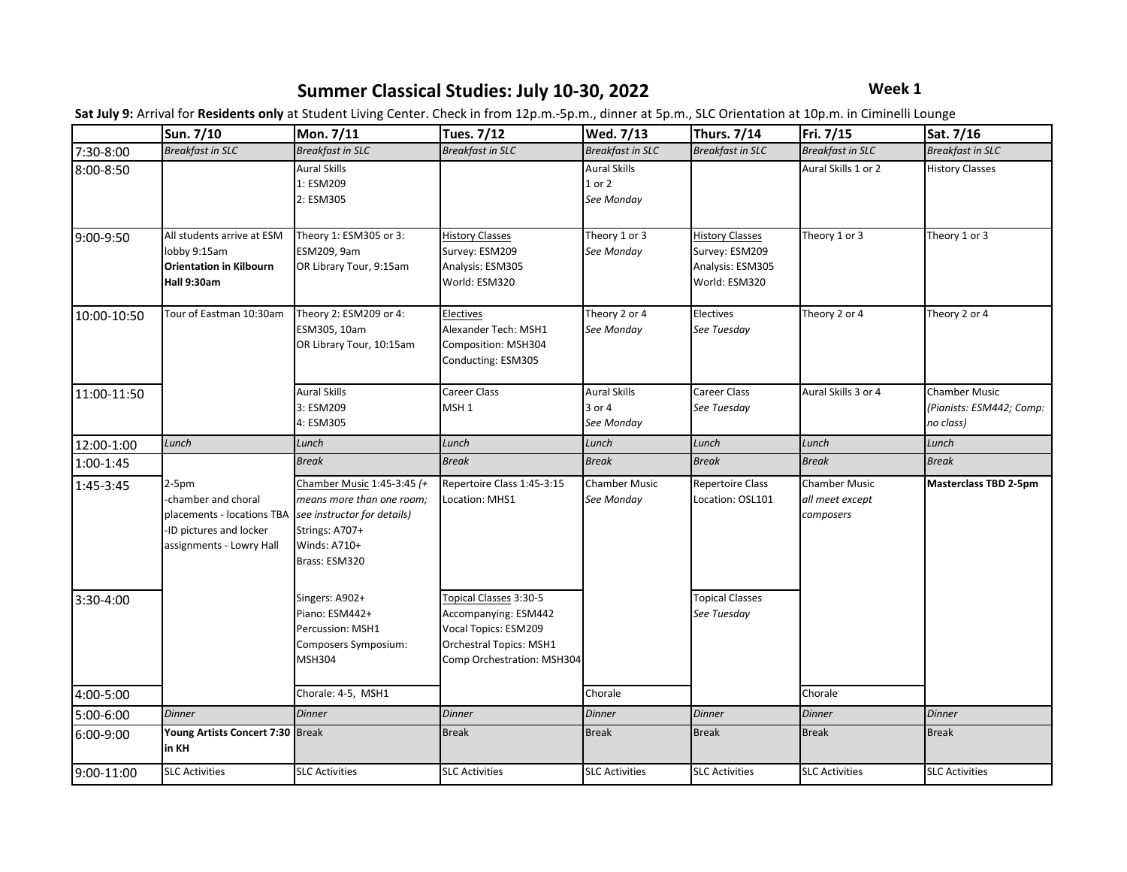### **Summer Classical Studies: July 10-30, 2022 Week 1**

|             | Sun. 7/10                                                                                                           | Mon. 7/11                                                                                                                                 | <b>Tues. 7/12</b>                                                                                                                      | Wed. 7/13                                   | <b>Thurs. 7/14</b>                                                            | Fri. 7/15                                            | Sat. 7/16                                                     |
|-------------|---------------------------------------------------------------------------------------------------------------------|-------------------------------------------------------------------------------------------------------------------------------------------|----------------------------------------------------------------------------------------------------------------------------------------|---------------------------------------------|-------------------------------------------------------------------------------|------------------------------------------------------|---------------------------------------------------------------|
| 7:30-8:00   | <b>Breakfast in SLC</b>                                                                                             | <b>Breakfast in SLC</b>                                                                                                                   | <b>Breakfast in SLC</b>                                                                                                                | <b>Breakfast in SLC</b>                     | <b>Breakfast in SLC</b>                                                       | <b>Breakfast in SLC</b>                              | <b>Breakfast in SLC</b>                                       |
| 8:00-8:50   |                                                                                                                     | <b>Aural Skills</b><br>1: ESM209<br>2: ESM305                                                                                             |                                                                                                                                        | <b>Aural Skills</b><br>1 or 2<br>See Monday |                                                                               | Aural Skills 1 or 2                                  | <b>History Classes</b>                                        |
| 9:00-9:50   | All students arrive at ESM<br>lobby 9:15am<br><b>Orientation in Kilbourn</b><br>Hall 9:30am                         | Theory 1: ESM305 or 3:<br>ESM209, 9am<br>OR Library Tour, 9:15am                                                                          | <b>History Classes</b><br>Survey: ESM209<br>Analysis: ESM305<br>World: ESM320                                                          | Theory 1 or 3<br>See Monday                 | <b>History Classes</b><br>Survey: ESM209<br>Analysis: ESM305<br>World: ESM320 | Theory 1 or 3                                        | Theory 1 or 3                                                 |
| 10:00-10:50 | Tour of Eastman 10:30am                                                                                             | Theory 2: ESM209 or 4:<br>ESM305, 10am<br>OR Library Tour, 10:15am                                                                        | Electives<br>Alexander Tech: MSH1<br>Composition: MSH304<br>Conducting: ESM305                                                         | Theory 2 or 4<br>See Monday                 | Electives<br>See Tuesday                                                      | Theory 2 or 4                                        | Theory 2 or 4                                                 |
| 11:00-11:50 |                                                                                                                     | <b>Aural Skills</b><br>3: ESM209<br>4: ESM305                                                                                             | Career Class<br>MSH <sub>1</sub>                                                                                                       | <b>Aural Skills</b><br>3 or 4<br>See Monday | <b>Career Class</b><br>See Tuesday                                            | Aural Skills 3 or 4                                  | <b>Chamber Music</b><br>(Pianists: ESM442; Comp:<br>no class) |
| 12:00-1:00  | Lunch                                                                                                               | Lunch                                                                                                                                     | Lunch                                                                                                                                  | Lunch                                       | Lunch                                                                         | Lunch                                                | Lunch                                                         |
| 1:00-1:45   |                                                                                                                     | <b>Break</b>                                                                                                                              | <b>Break</b>                                                                                                                           | <b>Break</b>                                | <b>Break</b>                                                                  | <b>Break</b>                                         | <b>Break</b>                                                  |
| 1:45-3:45   | $2-5pm$<br>-chamber and choral<br>placements - locations TBA<br>-ID pictures and locker<br>assignments - Lowry Hall | Chamber Music 1:45-3:45 (+<br>means more than one room;<br>see instructor for details)<br>Strings: A707+<br>Winds: A710+<br>Brass: ESM320 | Repertoire Class 1:45-3:15<br>Location: MHS1                                                                                           | <b>Chamber Music</b><br>See Monday          | <b>Repertoire Class</b><br>Location: OSL101                                   | <b>Chamber Music</b><br>all meet except<br>composers | <b>Masterclass TBD 2-5pm</b>                                  |
| 3:30-4:00   |                                                                                                                     | Singers: A902+<br>Piano: ESM442+<br>Percussion: MSH1<br>Composers Symposium:<br><b>MSH304</b>                                             | Topical Classes 3:30-5<br>Accompanying: ESM442<br>Vocal Topics: ESM209<br><b>Orchestral Topics: MSH1</b><br>Comp Orchestration: MSH304 |                                             | <b>Topical Classes</b><br>See Tuesday                                         |                                                      |                                                               |
| 4:00-5:00   |                                                                                                                     | Chorale: 4-5, MSH1                                                                                                                        |                                                                                                                                        | Chorale                                     |                                                                               | Chorale                                              |                                                               |
| 5:00-6:00   | <b>Dinner</b>                                                                                                       | <b>Dinner</b>                                                                                                                             | <b>Dinner</b>                                                                                                                          | <b>Dinner</b>                               | <b>Dinner</b>                                                                 | <b>Dinner</b>                                        | <b>Dinner</b>                                                 |
| 6:00-9:00   | Young Artists Concert 7:30 Break<br>in KH                                                                           |                                                                                                                                           | <b>Break</b>                                                                                                                           | <b>Break</b>                                | <b>Break</b>                                                                  | <b>Break</b>                                         | <b>Break</b>                                                  |
| 9:00-11:00  | <b>SLC Activities</b>                                                                                               | <b>SLC Activities</b>                                                                                                                     | <b>SLC Activities</b>                                                                                                                  | <b>SLC Activities</b>                       | <b>SLC Activities</b>                                                         | <b>SLC Activities</b>                                | <b>SLC Activities</b>                                         |

**Sat July 9:** Arrival for **Residents only** at Student Living Center. Check in from 12p.m.-5p.m., dinner at 5p.m., SLC Orientation at 10p.m. in Ciminelli Lounge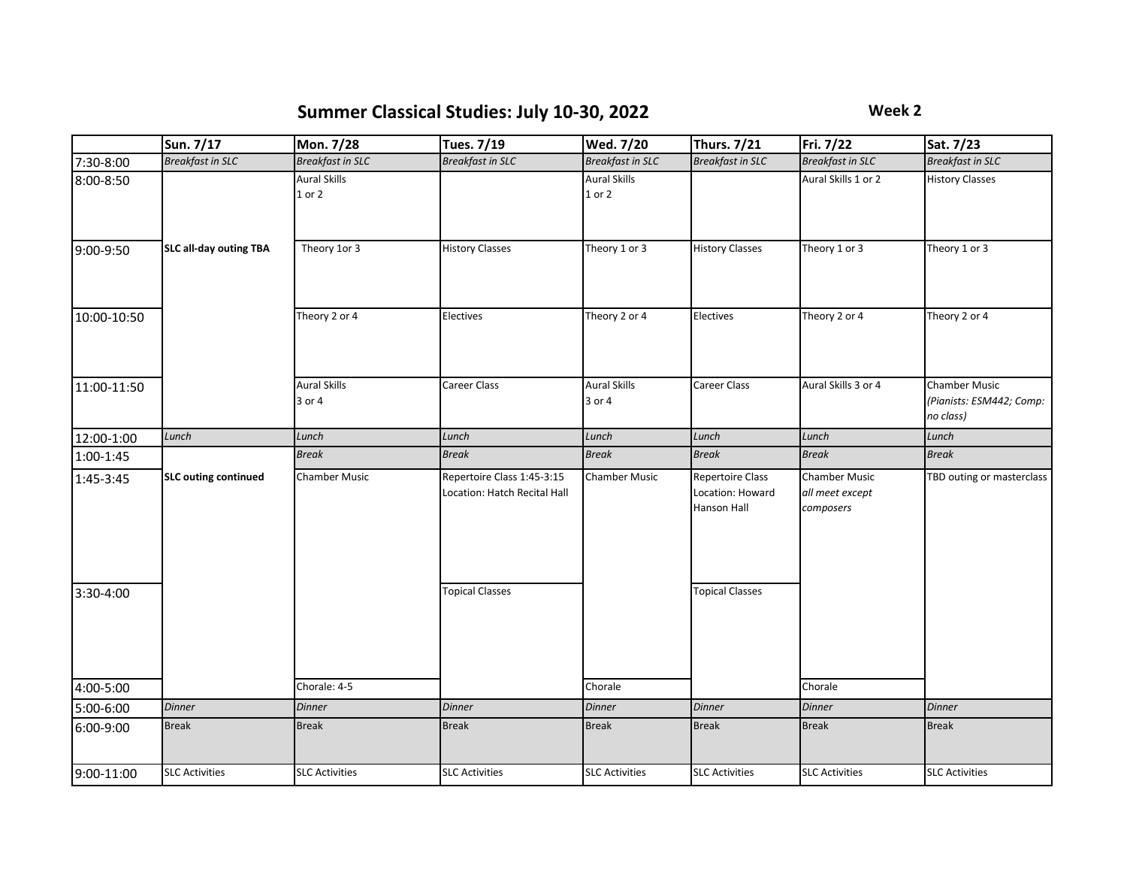# **Summer Classical Studies: July 10-30, 2022 Week 2**

|             | Sun. 7/17                     | Mon. 7/28                     | Tues. 7/19                                                 | Wed. 7/20                         | <b>Thurs. 7/21</b>                                  | Fri. 7/22                                            | Sat. 7/23                                                     |
|-------------|-------------------------------|-------------------------------|------------------------------------------------------------|-----------------------------------|-----------------------------------------------------|------------------------------------------------------|---------------------------------------------------------------|
| 7:30-8:00   | <b>Breakfast in SLC</b>       | <b>Breakfast in SLC</b>       | <b>Breakfast in SLC</b>                                    | <b>Breakfast in SLC</b>           | <b>Breakfast in SLC</b>                             | <b>Breakfast in SLC</b>                              | <b>Breakfast in SLC</b>                                       |
| 8:00-8:50   |                               | <b>Aural Skills</b><br>1 or 2 |                                                            | <b>Aural Skills</b><br>$1$ or $2$ |                                                     | Aural Skills 1 or 2                                  | <b>History Classes</b>                                        |
| 9:00-9:50   | <b>SLC all-day outing TBA</b> | Theory 1or 3                  | <b>History Classes</b>                                     | Theory 1 or 3                     | <b>History Classes</b>                              | Theory 1 or 3                                        | Theory 1 or 3                                                 |
| 10:00-10:50 |                               | Theory 2 or 4                 | Electives                                                  | Theory 2 or 4                     | Electives                                           | Theory 2 or 4                                        | Theory 2 or 4                                                 |
| 11:00-11:50 |                               | <b>Aural Skills</b><br>3 or 4 | Career Class                                               | <b>Aural Skills</b><br>3 or 4     | <b>Career Class</b>                                 | Aural Skills 3 or 4                                  | <b>Chamber Music</b><br>(Pianists: ESM442; Comp:<br>no class) |
| 12:00-1:00  | Lunch                         | Lunch                         | Lunch                                                      | Lunch                             | Lunch                                               | Lunch                                                | Lunch                                                         |
| $1:00-1:45$ |                               | <b>Break</b>                  | <b>Break</b>                                               | <b>Break</b>                      | <b>Break</b>                                        | <b>Break</b>                                         | <b>Break</b>                                                  |
| 1:45-3:45   | <b>SLC outing continued</b>   | <b>Chamber Music</b>          | Repertoire Class 1:45-3:15<br>Location: Hatch Recital Hall | <b>Chamber Music</b>              | Repertoire Class<br>Location: Howard<br>Hanson Hall | <b>Chamber Music</b><br>all meet except<br>composers | TBD outing or masterclass                                     |
| 3:30-4:00   |                               |                               | <b>Topical Classes</b>                                     |                                   | <b>Topical Classes</b>                              |                                                      |                                                               |
| 4:00-5:00   |                               | Chorale: 4-5                  |                                                            | Chorale                           |                                                     | Chorale                                              |                                                               |
| 5:00-6:00   | <b>Dinner</b>                 | <b>Dinner</b>                 | <b>Dinner</b>                                              | <b>Dinner</b>                     | <b>Dinner</b>                                       | <b>Dinner</b>                                        | <b>Dinner</b>                                                 |
| 6:00-9:00   | <b>Break</b>                  | <b>Break</b>                  | <b>Break</b>                                               | <b>Break</b>                      | <b>Break</b>                                        | <b>Break</b>                                         | <b>Break</b>                                                  |
| 9:00-11:00  | <b>SLC Activities</b>         | <b>SLC Activities</b>         | <b>SLC Activities</b>                                      | <b>SLC Activities</b>             | <b>SLC Activities</b>                               | <b>SLC Activities</b>                                | <b>SLC Activities</b>                                         |